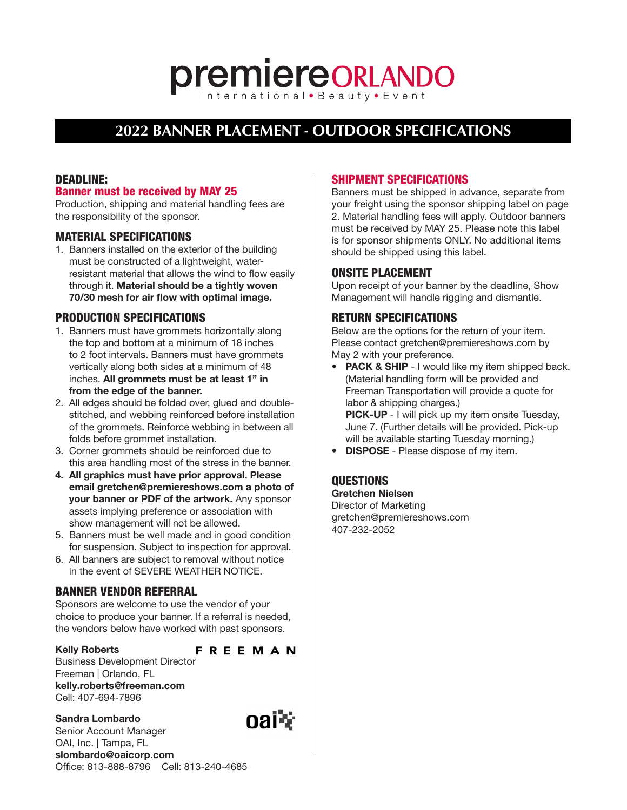# **premiereORLANDO**

# **2022 BANNER PLACEMENT - OUTDOOR SPECIFICATIONS**

# DEADLINE:

### Banner must be received by MAY 25

Production, shipping and material handling fees are the responsibility of the sponsor.

#### MATERIAL SPECIFICATIONS

1. Banners installed on the exterior of the building must be constructed of a lightweight, waterresistant material that allows the wind to flow easily through it. Material should be a tightly woven 70/30 mesh for air flow with optimal image.

## PRODUCTION SPECIFICATIONS

- 1. Banners must have grommets horizontally along the top and bottom at a minimum of 18 inches to 2 foot intervals. Banners must have grommets vertically along both sides at a minimum of 48 inches. All grommets must be at least 1" in from the edge of the banner.
- 2. All edges should be folded over, glued and doublestitched, and webbing reinforced before installation of the grommets. Reinforce webbing in between all folds before grommet installation.
- 3. Corner grommets should be reinforced due to this area handling most of the stress in the banner.
- 4. All graphics must have prior approval. Please email gretchen@premiereshows.com a photo of your banner or PDF of the artwork. Any sponsor assets implying preference or association with show management will not be allowed.
- 5. Banners must be well made and in good condition for suspension. Subject to inspection for approval.
- 6. All banners are subject to removal without notice in the event of SEVERE WEATHER NOTICE.

# BANNER VENDOR REFERRAL

Sponsors are welcome to use the vendor of your choice to produce your banner. If a referral is needed, the vendors below have worked with past sponsors.

#### Kelly Roberts

**FREEMAN** 

Business Development Director Freeman | Orlando, FL kelly.roberts@freeman.com Cell: 407-694-7896

Sandra Lombardo Senior Account Manager OAI, Inc. | Tampa, FL [slombardo@oaicorp.com](mailto:slombardo@oaicorp.com) Office: 813-888-8796 Cell: 813-240-4685

# SHIPMENT SPECIFICATIONS

Banners must be shipped in advance, separate from your freight using the sponsor shipping label on page 2. Material handling fees will apply. Outdoor banners must be received by MAY 25. Please note this label is for sponsor shipments ONLY. No additional items should be shipped using this label.

#### ONSITE PLACEMENT

Upon receipt of your banner by the deadline, Show Management will handle rigging and dismantle.

#### RETURN SPECIFICATIONS

Below are the options for the return of your item. Please contact gretchen@premiereshows.com by May 2 with your preference.

- PACK & SHIP I would like my item shipped back. (Material handling form will be provided and Freeman Transportation will provide a quote for labor & shipping charges.) PICK-UP - I will pick up my item onsite Tuesday, June 7. (Further details will be provided. Pick-up will be available starting Tuesday morning.)
- **DISPOSE** Please dispose of my item.

# **OUESTIONS**

Gretchen Nielsen Director of Marketing gretchen@premiereshows.com 407-232-2052